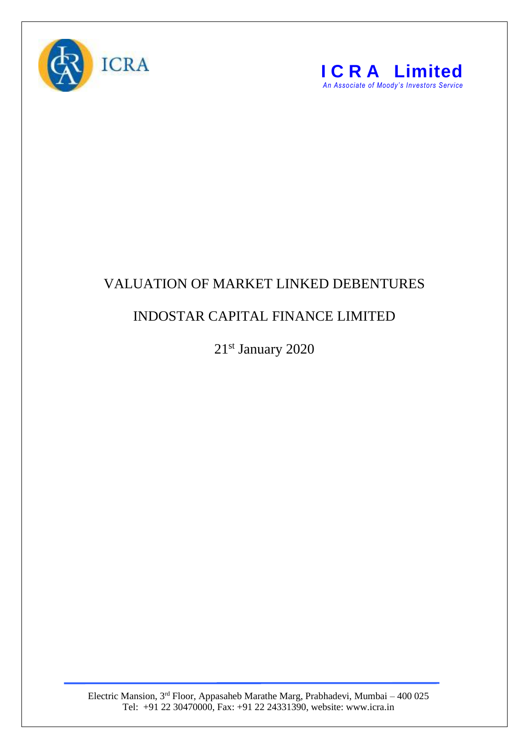



## VALUATION OF MARKET LINKED DEBENTURES

## INDOSTAR CAPITAL FINANCE LIMITED

21<sup>st</sup> January 2020